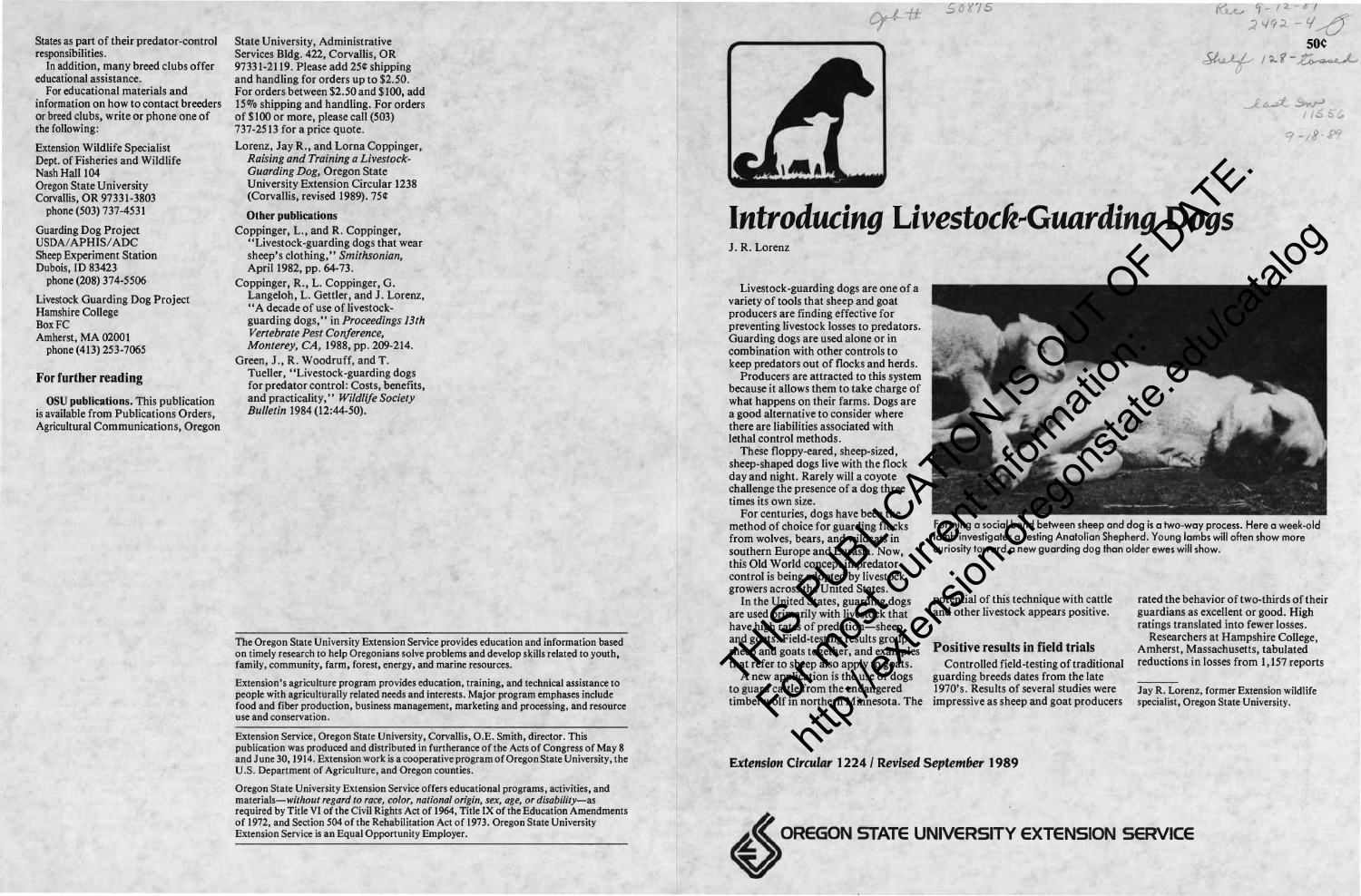

 $2492 - 4$ Shelf 128 - tossed

> last In 1556 *9-/B-&*

# *Introducing Livestock-Guarding Dogs*

*£0X15*

J. R. Lorenz

Livestock-guarding dogs are one of a variety of tools that sheep and goat producers are finding effective for preventing livestock losses to predators. Guarding dogs are used alone or **in** combination with other controls to keep predators out of flocks and herds.

Producers are attracted to this system because it allows them to take charge of what happens on their farms. Dogs are a good alternative to consider where there are liabilities associated with lethal control methods.

These floppy-eared, sheep-sized, sheep-shaped dogs live with the flock day and night. Rarely will a coyote challenge the presence of a dog three times its own size.

For centuries, dogs have been the method of choice for guarding flocks from wolves, bears, and wild at in southern Europe and Eurasi this Old World concept in predator control is being adopted by livestock growers across the United States.

In the United States, guarding dogs are used primarily with livestock that have high rates of predation—sheep Field-testing results group heep and goats to reflect, and exam that refer to sheep also apply to goats.

A new application is the use of dogs to guard cattle from the endangered timber wolf in northern Minnesota. The



Forming a social bond between sheep and dog is a two-way process. Here a week-old la**db i**nvestigates a **J**esting Anatolian Shepherd. Young lambs will often show more rd a new guarding dog than older ewes will show.

ial of this technique with cattle and other livestock appears positive.

## **Positive results in field trials**

Controlled field-testing of traditional guarding breeds dates from the late I970's. Results of several studies were impressive as sheep and goat producers

rated the behavior of two-thirds of their guardians as excellent or good. High ratings translated into fewer losses.

Researchers at Hampshire College, Amherst, Massachusetts, tabulated reductions in losses from 1,157 reports

Jay R. Lorenz, former Extension wildlife specialist, Oregon State University.

*Extension Circular* **1224 /** *Revised September* **1989**



# **OREGON STATE UNIVERSITY EXTENSION SERVICE**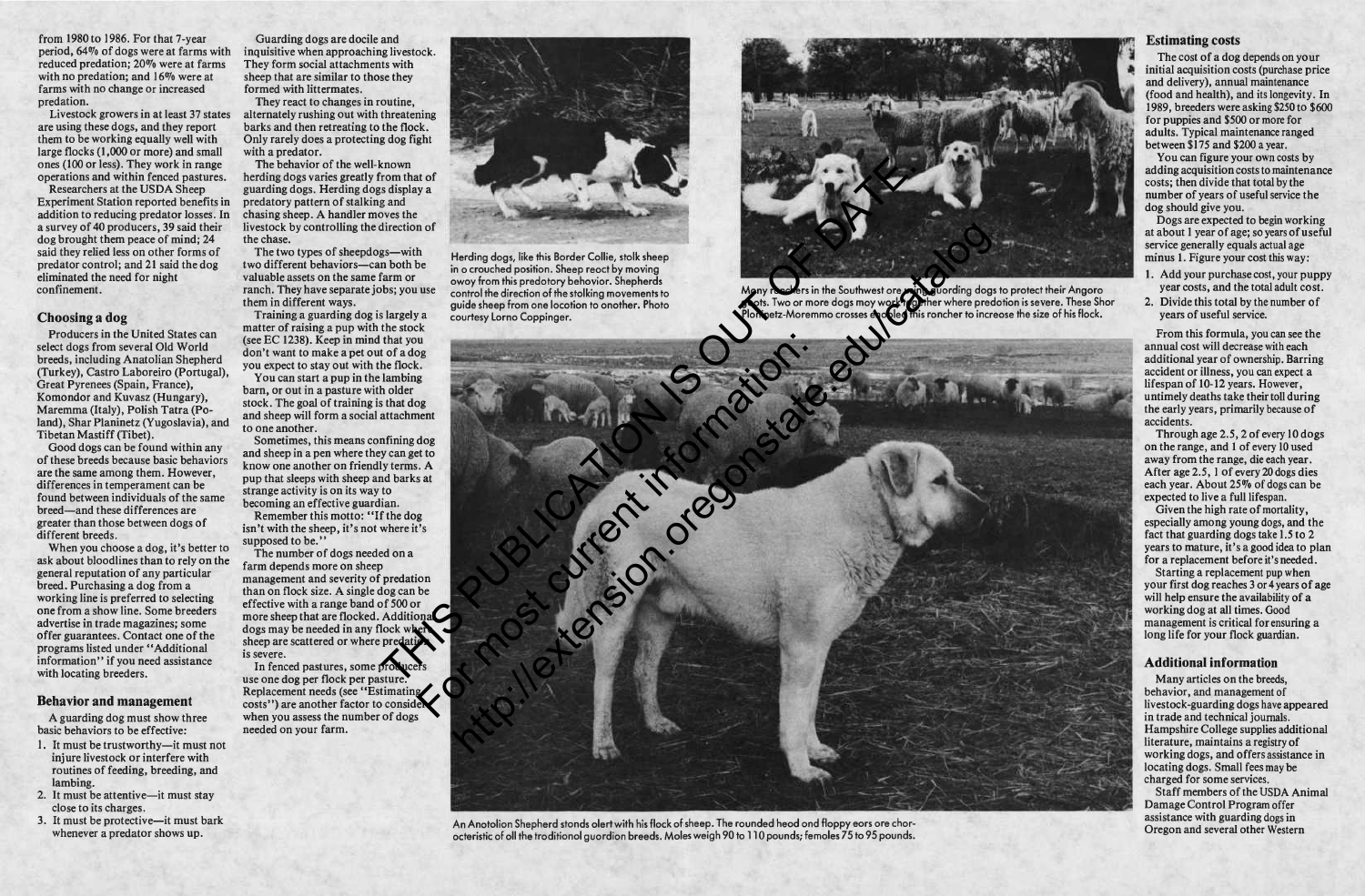from 1980 to 1986. For that 7-year period, 64% of dogs were at farms with inquisitive when approaching livestock. reduced predation; 20% were at farms with no predation; and 16% were at farms with no change or increased predation.

are using these dogs, and they report them to be working equally well with large flocks (1,000 or more) and small ones (100 or less). They work in range operations and within fenced pastures.

Researchers at the USDA Sheep Experiment Station reported benefits in addition to reducing predator losses. In a survey of 40 producers, 39 said their dog brought them peace of mind; 24 said they relied less on other forms of predator control; and 21 said the dog eliminated the need for night confinement.

#### **Choosing a dog**

When you choose a dog, it's better to ask about bloodlines than to rely on the general reputation of any particular breed. Purchasing a dog from a working line is preferred to selecting one from a show line. Some breeders advertise in trade magazines; some offer guarantees. Contact one of the programs listed under "Additional information" if you need assistance with locating breeders.

Producers in the United States can select dogs from several Old World breeds, including Anatolian Shepherd (Turkey), Castro Laboreiro (Portugal), Great Pyrenees (Spain, France), Komondor and Kuvasz (Hungary), Maremma (Italy), Polish Tatra (Poland), Shar Planinetz (Yugoslavia), and Tibetan Mastiff (Tibet).

Good dogs can be found within any of these breeds because basic behaviors are the same among them. However, differences in temperament can be found between individuals of the same breed—and these differences are greater than those between dogs of different breeds.

Livestock growers in at least 37 states alternately rushing out with threatening They react to changes in routine, barks and then retreating to the flock. Only rarely does a protecting dog fight with a predator.

#### **Behavior and management**

A guarding dog must show three basic behaviors to be effective:

- 1. It must be trustworthy—it must not injure livestock or interfere with routines of feeding, breeding, and lambing.
- 2. It must be attentive—it must stay close to its charges.
- 3. It must be protective—it must bark whenever a predator shows up.

In fenced pastures, some produce use one dog per flock per pasture. Replacement needs (see "Estimating costs") are another factor to consider when you assess the number of dogs needed on your farm.



Many ranchers in the Southwest are using guarding dogs to protect their Angora gots. Two or more dogs moy work to gither where predotion is severe. These Shor Planinetz-Moremmo crosses en oleo mis roncher to increose the size of his flock.

Guarding dogs are docile and They form social attachments with sheep that are similar to those they formed with littermates.

The behavior of the well-known herding dogs varies greatly from that of guarding dogs. Herding dogs display a predatory pattern of stalking and chasing sheep. A handler moves the livestock by controlling the direction of the chase.

The two types of sheepdogs—with two different behaviors—can both be valuable assets on the same farm or ranch. They have separate jobs; you use them in different ways.

Training a guarding dog is largely a matter of raising a pup with the stock (see EC 1238). Keep in mind that you don't want to make a pet out of a dog you expect to stay out with the flock.

You can start a pup in the lambing barn, or out in a pasture with older stock. The goal of training is that dog and sheep will form a social attachment to one another.

Sometimes, this means confining dog and sheep in a pen where they can get to know one another on friendly terms. A pup that sleeps with sheep and barks at strange activity is on its way to becoming an effective guardian.

Remember this motto: "If the dog isn't with the sheep, it's not where it's supposed to be."

The number of dogs needed on a farm depends more on sheep management and severity of predation than on flock size. A single dog can be effective with a range band of 500 or more sheep that are flocked. Additional dogs may be needed in any flock when sheep are scattered or where predati is severe.



Herding dogs, like this Border Collie, stalk sheep in o crouched position. Sheep reoct by moving away from this predatory behavior. Shepherds control the direction of the stalking movements to guide sheep from one location to another. Photo courtesy Lorna Coppinger.

#### **Estimating costs**

The cost of a dog depends on your initial acquisition costs (purchase price and delivery), annual maintenance (food and health), and its longevity. In 1989, breeders were asking \$250 to \$600 for puppies and \$500 or more for adults. Typical maintenance ranged between \$175 and \$200 a year.

You can figure your own costs by adding acquisition costs to maintenance costs; then divide that total by the number of years of useful service the dog should give you.

Dogs are expected to begin working at about <sup>1</sup> year of age; so years of useful service generally equals actual age minus 1. Figure your cost this way:

- 1. Add your purchase cost, your puppy year costs, and the total adult cost.
- 2. Divide this total by the number of years of useful service.

From this formula, you can see the annual cost will decrease with each additional year of ownership. Barring accident or illness, you can expect a lifespan of 10-12 years. However, untimely deaths take their toll during the early years, primarily because of accidents.



An Anotolion Shepherd stonds olert with his flock of sheep. The rounded heod ond floppy eors ore choracteristic of all the traditional guardian breeds. Males weigh 90 to 110 pounds; females 75 to 95 pounds.

Through age 2.5, 2 of every 10 dogs on the range, and <sup>1</sup> of every 10 used away from the range, die each year. After age 2.5,1 of every 20 dogs dies each year. About 25% of dogs can be expected to live a full lifespan.

Given the high rate of mortality, especially among young dogs, and the fact that guarding dogs take 1.5 to 2 years to mature, it's a good idea to plan for a replacement before it's needed.

Starting a replacement pup when your first dog reaches <sup>3</sup> or <sup>4</sup> years of age will help ensure the availability of a working dog at all times. Good management is critical for ensuring a long life for your flock guardian.

### **Additional information**

Many articles on the breeds, behavior, and management of livestock-guarding dogs have appeared in trade and technical journals. Hampshire College supplies additional literature, maintains a registry of working dogs, and offers assistance in locating dogs. Small fees may be charged for some services.

Staff members of the USDA Animal Damage Control Program offer assistance with guarding dogs in Oregon and several other Western